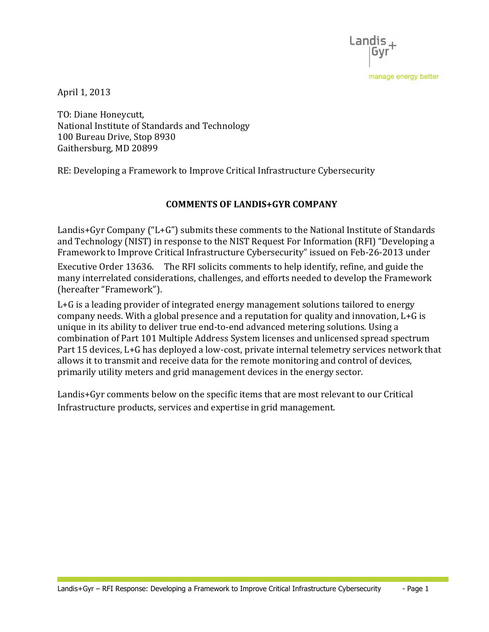Landis

manage energy better

April 1, 2013

 TO: Diane Honeycutt, National Institute of Standards and Technology 100 Bureau Drive, Stop 8930 Gaithersburg, MD 20899

RE: Developing a Framework to Improve Critical Infrastructure Cybersecurity

# COMMENTS OF LANDIS+GYR COMPANY

 Landis+Gyr Company ("L+G") submits these comments to the National Institute of Standards and Technology (NIST) in response to the NIST Request For Information (RFI) "Developing a Framework to Improve Critical Infrastructure Cybersecurity" issued on Feb-26-2013 under Executive Order 13636. The RFI solicits comments to help identify, refine, and guide the many interrelated considerations, challenges, and efforts needed to develop the Framework (hereafter "Framework").

 L+G is a leading provider of integrated energy management solutions tailored to energy company needs. With a global presence and a reputation for quality and innovation, L+G is unique in its ability to deliver true end-to-end advanced metering solutions. Using a combination of Part 101 Multiple Address System licenses and unlicensed spread spectrum Part 15 devices, L+G has deployed a low-cost, private internal telemetry services network that allows it to transmit and receive data for the remote monitoring and control of devices, primarily utility meters and grid management devices in the energy sector.

 Landis+Gyr comments below on the specific items that are most relevant to our Critical Infrastructure products, services and expertise in grid management.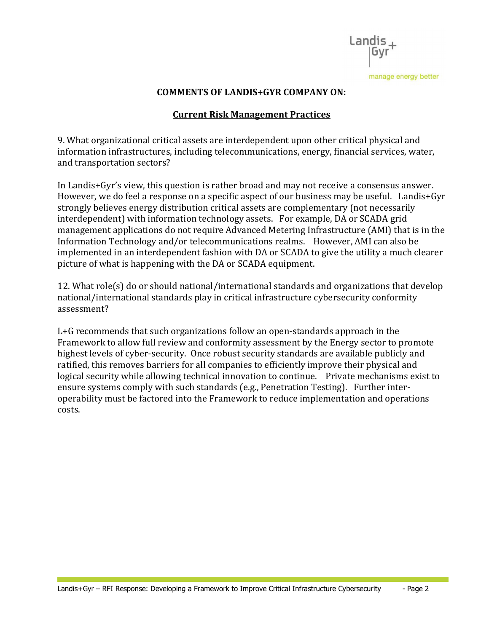

### COMMENTS OF LANDIS+GYR COMPANY ON:

## Current Risk Management Practices

 9. What organizational critical assets are interdependent upon other critical physical and information infrastructures, including telecommunications, energy, financial services, water, and transportation sectors?

 In Landis+Gyr's view, this question is rather broad and may not receive a consensus answer. However, we do feel a response on a specific aspect of our business may be useful. Landis+Gyr strongly believes energy distribution critical assets are complementary (not necessarily interdependent) with information technology assets. For example, DA or SCADA grid management applications do not require Advanced Metering Infrastructure (AMI) that is in the Information Technology and/or telecommunications realms. However, AMI can also be implemented in an interdependent fashion with DA or SCADA to give the utility a much clearer picture of what is happening with the DA or SCADA equipment.

 12. What role(s) do or should national/international standards and organizations that develop national/international standards play in critical infrastructure cybersecurity conformity assessment?

assessment?<br>L+G recommends that such organizations follow an open-standards approach in the Framework to allow full review and conformity assessment by the Energy sector to promote highest levels of cyber-security. Once robust security standards are available publicly and ratified, this removes barriers for all companies to efficiently improve their physical and logical security while allowing technical innovation to continue. Private mechanisms exist to ensure systems comply with such standards (e.g., Penetration Testing). Further inter- operability must be factored into the Framework to reduce implementation and operations costs.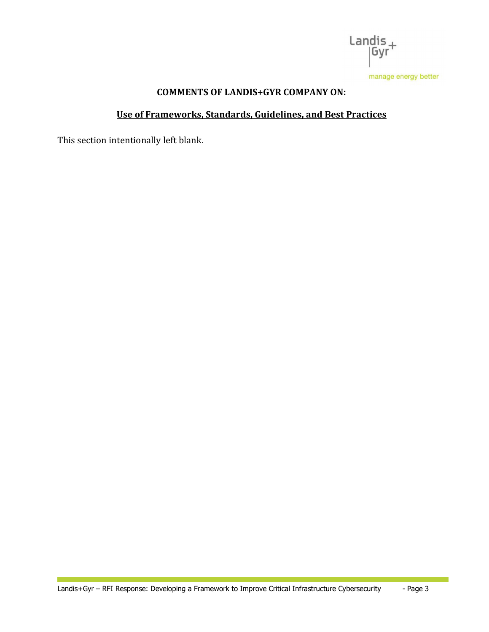

### COMMENTS OF LANDIS+GYR COMPANY ON:

### Use of Frameworks, Standards, Guidelines, and Best Practices

This section intentionally left blank.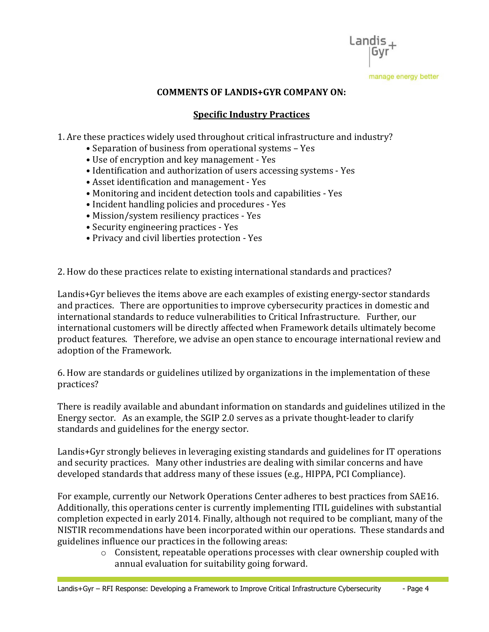Landis manage energy better

### COMMENTS OF LANDIS+GYR COMPANY ON:

## Specific Industry Practices �

1. Are these practices widely used throughout critical infrastructure and industry?

- Separation of business from operational systems Yes
- Use of encryption and key management Yes
- Identification and authorization of users accessing systems Yes
- Asset identification and management Yes
- Monitoring and incident detection tools and capabilities Yes
- Incident handling policies and procedures Yes
- Mission/system resiliency practices Yes
- Security engineering practices Yes
- Privacy and civil liberties protection Yes

2. How do these practices relate to existing international standards and practices?

 Landis+Gyr believes the items above are each examples of existing energy-sector standards and practices. There are opportunities to improve cybersecurity practices in domestic and international standards to reduce vulnerabilities to Critical Infrastructure. Further, our international customers will be directly affected when Framework details ultimately become product features. Therefore, we advise an open stance to encourage international review and adoption of the Framework.

 6. How are standards or guidelines utilized by organizations in the implementation of these practices?

practices?<br>There is readily available and abundant information on standards and guidelines utilized in the Energy sector. As an example, the SGIP 2.0 serves as a private thought-leader to clarify standards and guidelines for the energy sector.

 Landis+Gyr strongly believes in leveraging existing standards and guidelines for IT operations and security practices. Many other industries are dealing with similar concerns and have developed standards that address many of these issues (e.g., HIPPA, PCI Compliance).

 For example, currently our Network Operations Center adheres to best practices from SAE16. Additionally, this operations center is currently implementing ITIL guidelines with substantial completion expected in early 2014. Finally, although not required to be compliant, many of the NISTIR recommendations have been incorporated within our operations. These standards and guidelines influence our practices in the following areas:

 $\circ$  Consistent, repeatable operations processes with clear ownership coupled with annual evaluation for suitability going forward.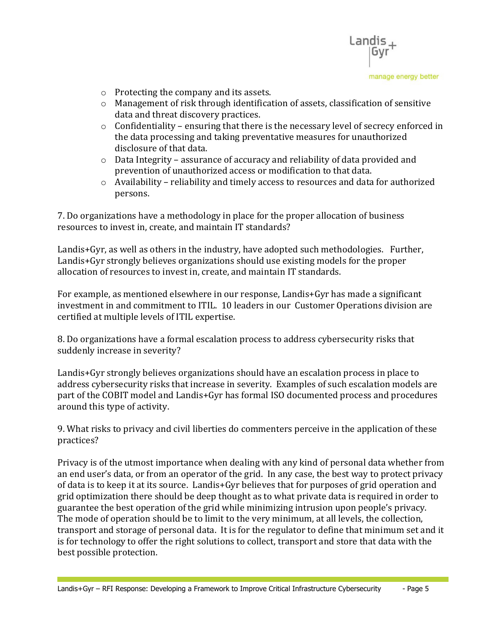

- $\circ$  Protecting the company and its assets.
- $\circ$  Management of risk through identification of assets, classification of sensitive data and threat discovery practices.
- $\circ$  Confidentiality ensuring that there is the necessary level of secrecy enforced in the data processing and taking preventative measures for unauthorized disclosure of that data.
- $\circ$  Data Integrity assurance of accuracy and reliability of data provided and prevention of unauthorized access or modification to that data.
- $\circ$  Availability reliability and timely access to resources and data for authorized persons.

 7. Do organizations have a methodology in place for the proper allocation of business resources to invest in, create, and maintain IT standards?

 Landis+Gyr, as well as others in the industry, have adopted such methodologies. Further, Landis+Gyr strongly believes organizations should use existing models for the proper allocation of resources to invest in, create, and maintain IT standards.

 For example, as mentioned elsewhere in our response, Landis+Gyr has made a significant investment in and commitment to ITIL. 10 leaders in our Customer Operations division are certified at multiple levels of ITIL expertise.

 8. Do organizations have a formal escalation process to address cybersecurity risks that suddenly increase in severity?

 Landis+Gyr strongly believes organizations should have an escalation process in place to address cybersecurity risks that increase in severity. Examples of such escalation models are part of the COBIT model and Landis+Gyr has formal ISO documented process and procedures around this type of activity.

 9. What risks to privacy and civil liberties do commenters perceive in the application of these practices?

practices?<br>Privacy is of the utmost importance when dealing with any kind of personal data whether from an end user's data, or from an operator of the grid. In any case, the best way to protect privacy of data is to keep it at its source. Landis+Gyr believes that for purposes of grid operation and grid optimization there should be deep thought as to what private data is required in order to guarantee the best operation of the grid while minimizing intrusion upon people's privacy. The mode of operation should be to limit to the very minimum, at all levels, the collection, transport and storage of personal data. It is for the regulator to define that minimum set and it is for technology to offer the right solutions to collect, transport and store that data with the best possible protection.